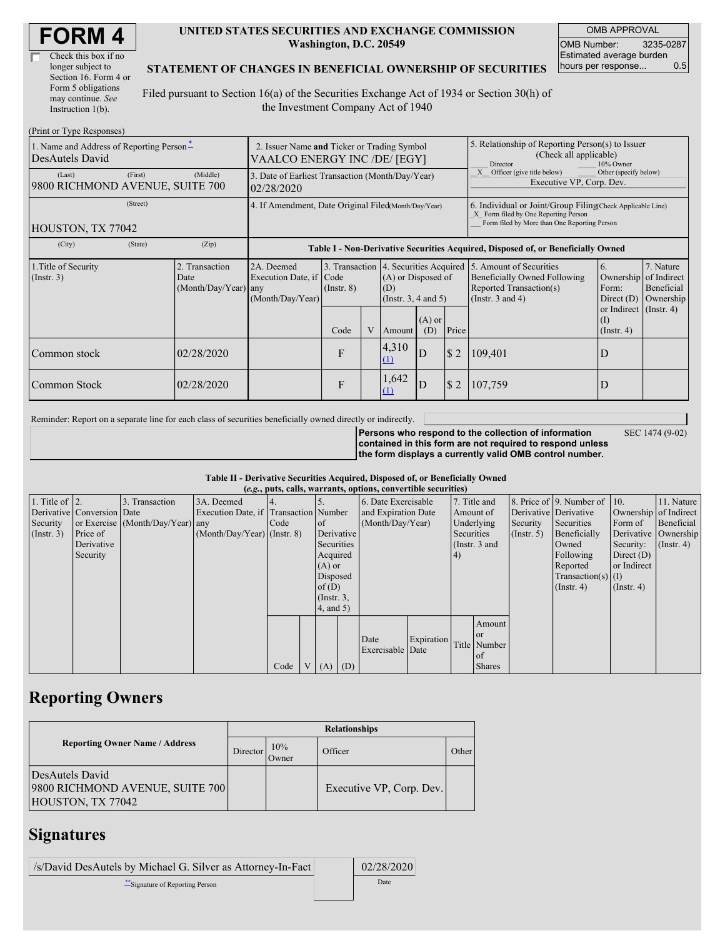| Check this box if no  |
|-----------------------|
| longer subject to     |
| Section 16. Form 4 or |
| Form 5 obligations    |
| may continue. See     |
| Instruction $1(b)$ .  |

#### **UNITED STATES SECURITIES AND EXCHANGE COMMISSION Washington, D.C. 20549**

OMB APPROVAL OMB Number: 3235-0287 Estimated average burden hours per response... 0.5

### **STATEMENT OF CHANGES IN BENEFICIAL OWNERSHIP OF SECURITIES**

Filed pursuant to Section 16(a) of the Securities Exchange Act of 1934 or Section 30(h) of the Investment Company Act of 1940

| (Print or Type Responses)                                   |                                                                             |                                                                                  |                                   |  |                                                                                 |                 |                                                                                                                                                    |                                                                                                             |                                                      |                                                     |
|-------------------------------------------------------------|-----------------------------------------------------------------------------|----------------------------------------------------------------------------------|-----------------------------------|--|---------------------------------------------------------------------------------|-----------------|----------------------------------------------------------------------------------------------------------------------------------------------------|-------------------------------------------------------------------------------------------------------------|------------------------------------------------------|-----------------------------------------------------|
| 1. Name and Address of Reporting Person-<br>DesAutels David | 2. Issuer Name and Ticker or Trading Symbol<br>VAALCO ENERGY INC /DE/ [EGY] |                                                                                  |                                   |  |                                                                                 |                 | 5. Relationship of Reporting Person(s) to Issuer<br>(Check all applicable)<br>10% Owner<br>Director                                                |                                                                                                             |                                                      |                                                     |
| (First)<br>(Last)<br>9800 RICHMOND AVENUE, SUITE 700        | (Middle)                                                                    | 3. Date of Earliest Transaction (Month/Day/Year)<br>02/28/2020                   |                                   |  |                                                                                 |                 |                                                                                                                                                    | Other (specify below)<br>Officer (give title below)<br>Executive VP, Corp. Dev.                             |                                                      |                                                     |
| (Street)<br>HOUSTON, TX 77042                               | 4. If Amendment, Date Original Filed(Month/Day/Year)                        |                                                                                  |                                   |  |                                                                                 |                 | 6. Individual or Joint/Group Filing Check Applicable Line)<br>X Form filed by One Reporting Person<br>Form filed by More than One Reporting Person |                                                                                                             |                                                      |                                                     |
| (State)<br>(City)                                           | (Zip)                                                                       | Table I - Non-Derivative Securities Acquired, Disposed of, or Beneficially Owned |                                   |  |                                                                                 |                 |                                                                                                                                                    |                                                                                                             |                                                      |                                                     |
| 1. Title of Security<br>(Insert. 3)                         | 2. Transaction<br>Date<br>(Month/Day/Year) any                              | 2A. Deemed<br>Execution Date, if Code<br>(Month/Day/Year)                        | 3. Transaction<br>$($ Instr. $8)$ |  | 4. Securities Acquired<br>(A) or Disposed of<br>(D)<br>(Instr. $3, 4$ and $5$ ) |                 |                                                                                                                                                    | 5. Amount of Securities<br>Beneficially Owned Following<br>Reported Transaction(s)<br>(Instr. $3$ and $4$ ) | 6.<br>Ownership<br>Form:<br>Direct $(D)$             | 7. Nature<br>of Indirect<br>Beneficial<br>Ownership |
|                                                             |                                                                             |                                                                                  | Code                              |  | Amount                                                                          | $(A)$ or<br>(D) | Price                                                                                                                                              |                                                                                                             | or Indirect (Instr. 4)<br>$($ I)<br>$($ Instr. 4 $)$ |                                                     |
| Common stock                                                | 02/28/2020                                                                  |                                                                                  | F                                 |  | 4,310<br>(1)                                                                    | D               | \$2                                                                                                                                                | 109,401                                                                                                     | D                                                    |                                                     |
| Common Stock                                                | 02/28/2020                                                                  |                                                                                  | F                                 |  | 1,642<br>(1)                                                                    | D               | \$2                                                                                                                                                | 107,759                                                                                                     | D                                                    |                                                     |

Reminder: Report on a separate line for each class of securities beneficially owned directly or indirectly.

**Persons who respond to the collection of information contained in this form are not required to respond unless**

SEC 1474 (9-02)

**the form displays a currently valid OMB control number.**

### **Table II - Derivative Securities Acquired, Disposed of, or Beneficially Owned**

| (e.g., puts, calls, warrants, options, convertible securities) |                            |                                  |                                       |      |  |                 |                     |                     |            |               |               |                  |                              |                       |                      |
|----------------------------------------------------------------|----------------------------|----------------------------------|---------------------------------------|------|--|-----------------|---------------------|---------------------|------------|---------------|---------------|------------------|------------------------------|-----------------------|----------------------|
| 1. Title of $\vert$ 2.                                         |                            | 3. Transaction                   | 3A. Deemed                            |      |  |                 |                     | 6. Date Exercisable |            |               | 7. Title and  |                  | 8. Price of 9. Number of 10. |                       | 11. Nature           |
|                                                                | Derivative Conversion Date |                                  | Execution Date, if Transaction Number |      |  |                 | and Expiration Date |                     |            | Amount of     |               |                  | Derivative Derivative        | Ownership of Indirect |                      |
| Security                                                       |                            | or Exercise (Month/Day/Year) any |                                       | Code |  | <sub>of</sub>   |                     | (Month/Day/Year)    |            | Underlying    |               | Security         | Securities                   | Form of               | Beneficial           |
| $($ Instr. 3 $)$                                               | Price of                   |                                  | $(Month/Day/Year)$ (Instr. 8)         |      |  | Derivative      |                     |                     |            | Securities    |               | (Insert, 5)      | Beneficially                 |                       | Derivative Ownership |
|                                                                | Derivative                 |                                  |                                       |      |  | Securities      |                     |                     |            | (Instr. 3 and |               |                  | Owned                        | Security:             | $($ Instr. 4 $)$     |
|                                                                | Security                   |                                  |                                       |      |  |                 | Acquired            |                     | 4)         |               |               | Following        | Direct $(D)$                 |                       |                      |
|                                                                |                            |                                  |                                       |      |  | $(A)$ or        |                     |                     |            |               |               |                  | Reported                     | or Indirect           |                      |
|                                                                |                            |                                  |                                       |      |  | Disposed        |                     |                     |            |               |               |                  | Transaction(s) $(I)$         |                       |                      |
|                                                                |                            |                                  |                                       |      |  | of(D)           |                     |                     |            |               |               | $($ Instr. 4 $)$ | $($ Instr. 4 $)$             |                       |                      |
|                                                                |                            |                                  |                                       |      |  | $($ Instr. $3,$ |                     |                     |            |               |               |                  |                              |                       |                      |
|                                                                |                            |                                  |                                       |      |  | $4$ , and $5$ ) |                     |                     |            |               |               |                  |                              |                       |                      |
|                                                                |                            |                                  |                                       |      |  |                 |                     |                     |            |               | Amount        |                  |                              |                       |                      |
|                                                                |                            |                                  |                                       |      |  |                 |                     |                     |            |               | <sub>or</sub> |                  |                              |                       |                      |
|                                                                |                            |                                  |                                       |      |  |                 |                     | Date                | Expiration |               | Title Number  |                  |                              |                       |                      |
|                                                                |                            |                                  |                                       |      |  |                 |                     | Exercisable Date    |            |               | l of          |                  |                              |                       |                      |
|                                                                |                            |                                  |                                       | Code |  | V(A)            | (D)                 |                     |            |               | <b>Shares</b> |                  |                              |                       |                      |

## **Reporting Owners**

|                                                                         | <b>Relationships</b> |              |                          |       |  |  |  |  |
|-------------------------------------------------------------------------|----------------------|--------------|--------------------------|-------|--|--|--|--|
| <b>Reporting Owner Name / Address</b>                                   | Director             | 10%<br>Owner | Officer                  | Other |  |  |  |  |
| DesAutels David<br>9800 RICHMOND AVENUE, SUITE 700<br>HOUSTON, TX 77042 |                      |              | Executive VP, Corp. Dev. |       |  |  |  |  |

## **Signatures**

| /s/David DesAutels by Michael G. Silver as Attorney-In-Fact | 02/28/2020 |
|-------------------------------------------------------------|------------|
| **Signature of Reporting Person                             | Date       |